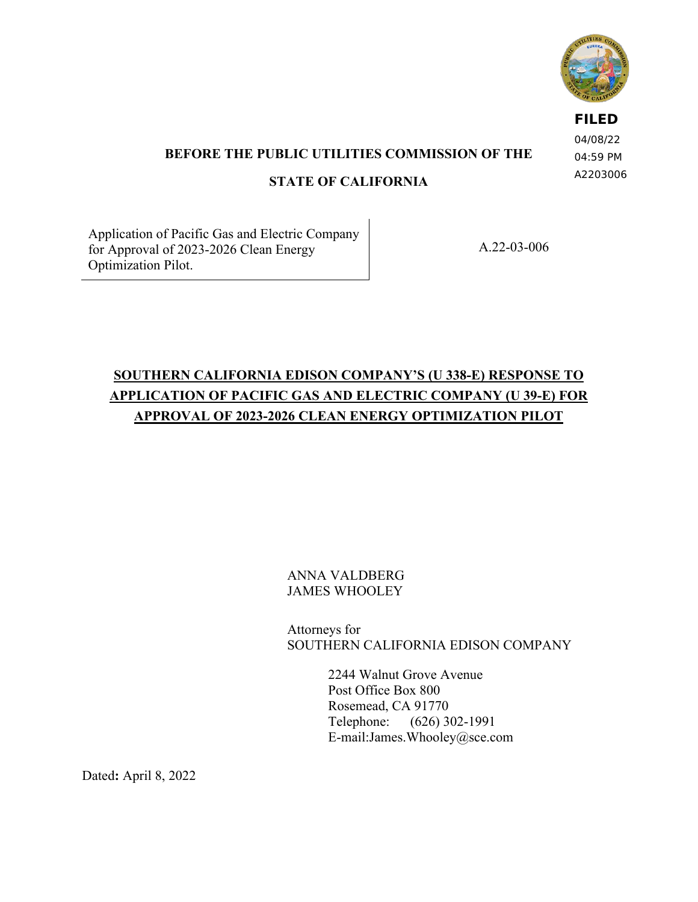

**FILED** 04/08/22

**BEFORE THE PUBLIC UTILITIES COMMISSION OF THE STATE OF CALIFORNIA** 

04:59 PM A2203006

Application of Pacific Gas and Electric Company for Approval of 2023-2026 Clean Energy Optimization Pilot.

A.22-03-006

# **SOUTHERN CALIFORNIA EDISON COMPANY'S (U 338-E) RESPONSE TO APPLICATION OF PACIFIC GAS AND ELECTRIC COMPANY (U 39-E) FOR APPROVAL OF 2023-2026 CLEAN ENERGY OPTIMIZATION PILOT**

## ANNA VALDBERG JAMES WHOOLEY

Attorneys for SOUTHERN CALIFORNIA EDISON COMPANY

> 2244 Walnut Grove Avenue Post Office Box 800 Rosemead, CA 91770 Telephone: (626) 302-1991 E-mail:James.Whooley@sce.com

Dated**:** April 8, 2022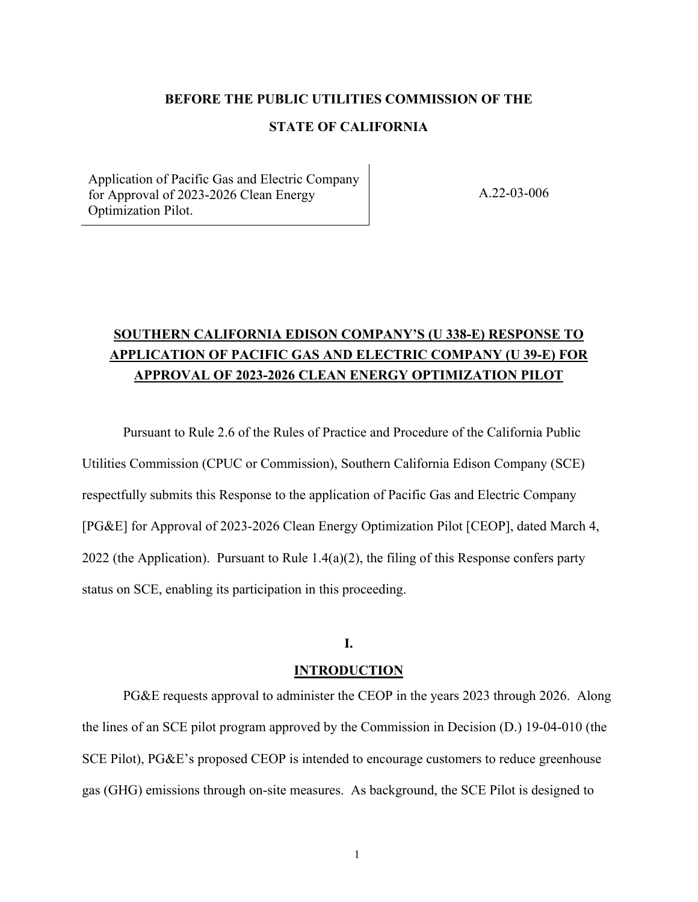#### **BEFORE THE PUBLIC UTILITIES COMMISSION OF THE**

#### **STATE OF CALIFORNIA**

Application of Pacific Gas and Electric Company for Approval of 2023-2026 Clean Energy Optimization Pilot.

A.22-03-006

## **SOUTHERN CALIFORNIA EDISON COMPANY'S (U 338-E) RESPONSE TO APPLICATION OF PACIFIC GAS AND ELECTRIC COMPANY (U 39-E) FOR APPROVAL OF 2023-2026 CLEAN ENERGY OPTIMIZATION PILOT**

Pursuant to Rule 2.6 of the Rules of Practice and Procedure of the California Public Utilities Commission (CPUC or Commission), Southern California Edison Company (SCE) respectfully submits this Response to the application of Pacific Gas and Electric Company [PG&E] for Approval of 2023-2026 Clean Energy Optimization Pilot [CEOP], dated March 4, 2022 (the Application). Pursuant to Rule  $1.4(a)(2)$ , the filing of this Response confers party status on SCE, enabling its participation in this proceeding.

#### **I.**

#### **INTRODUCTION**

PG&E requests approval to administer the CEOP in the years 2023 through 2026. Along the lines of an SCE pilot program approved by the Commission in Decision (D.) 19-04-010 (the SCE Pilot), PG&E's proposed CEOP is intended to encourage customers to reduce greenhouse gas (GHG) emissions through on-site measures. As background, the SCE Pilot is designed to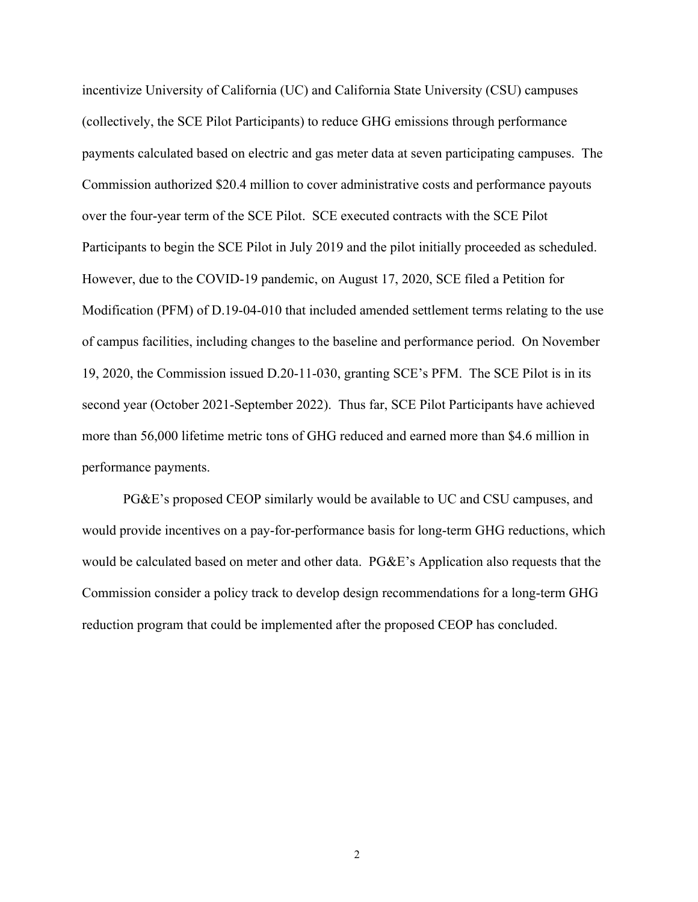incentivize University of California (UC) and California State University (CSU) campuses (collectively, the SCE Pilot Participants) to reduce GHG emissions through performance payments calculated based on electric and gas meter data at seven participating campuses. The Commission authorized \$20.4 million to cover administrative costs and performance payouts over the four-year term of the SCE Pilot. SCE executed contracts with the SCE Pilot Participants to begin the SCE Pilot in July 2019 and the pilot initially proceeded as scheduled. However, due to the COVID-19 pandemic, on August 17, 2020, SCE filed a Petition for Modification (PFM) of D.19-04-010 that included amended settlement terms relating to the use of campus facilities, including changes to the baseline and performance period. On November 19, 2020, the Commission issued D.20-11-030, granting SCE's PFM. The SCE Pilot is in its second year (October 2021-September 2022). Thus far, SCE Pilot Participants have achieved more than 56,000 lifetime metric tons of GHG reduced and earned more than \$4.6 million in performance payments.

PG&E's proposed CEOP similarly would be available to UC and CSU campuses, and would provide incentives on a pay-for-performance basis for long-term GHG reductions, which would be calculated based on meter and other data. PG&E's Application also requests that the Commission consider a policy track to develop design recommendations for a long-term GHG reduction program that could be implemented after the proposed CEOP has concluded.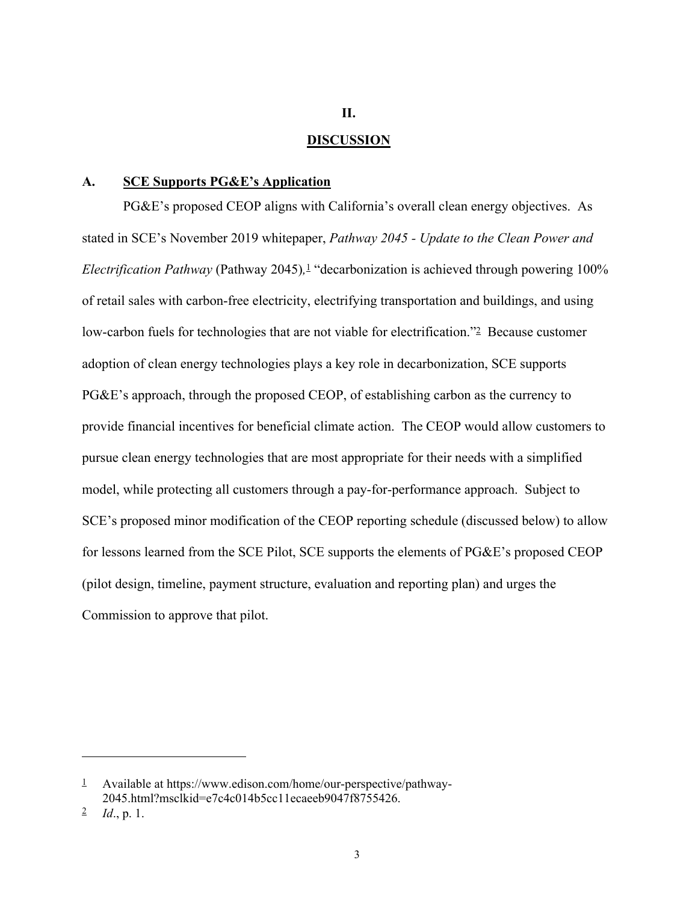#### **II.**

#### **DISCUSSION**

#### **A. SCE Supports PG&E's Application**

PG&E's proposed CEOP aligns with California's overall clean energy objectives. As stated in SCE's November 2019 whitepaper, *Pathway 2045 - Update to the Clean Power and Electrification Pathway* (Pathway 2045)*,* 1 "decarbonization is achieved through powering 100% of retail sales with carbon-free electricity, electrifying transportation and buildings, and using low-carbon fuels for technologies that are not viable for electrification."2 Because customer adoption of clean energy technologies plays a key role in decarbonization, SCE supports PG&E's approach, through the proposed CEOP, of establishing carbon as the currency to provide financial incentives for beneficial climate action. The CEOP would allow customers to pursue clean energy technologies that are most appropriate for their needs with a simplified model, while protecting all customers through a pay-for-performance approach. Subject to SCE's proposed minor modification of the CEOP reporting schedule (discussed below) to allow for lessons learned from the SCE Pilot, SCE supports the elements of PG&E's proposed CEOP (pilot design, timeline, payment structure, evaluation and reporting plan) and urges the Commission to approve that pilot.

 $\frac{1}{2}$  Available at https://www.edison.com/home/our-perspective/pathway-2045.html?msclkid=e7c4c014b5cc11ecaeeb9047f8755426.

<sup>2</sup> *Id*., p. 1.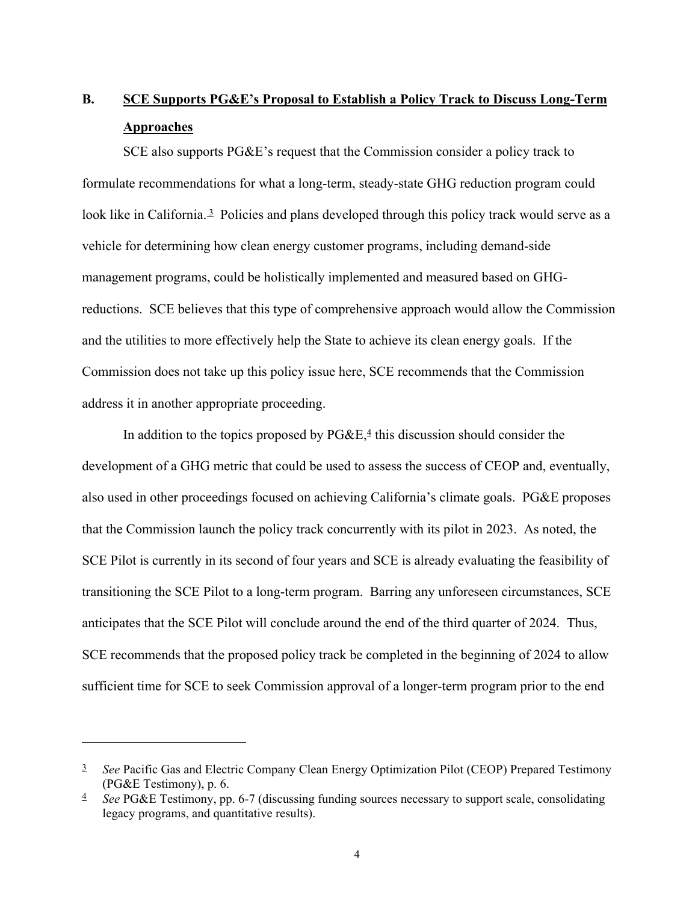# **B. SCE Supports PG&E's Proposal to Establish a Policy Track to Discuss Long-Term Approaches**

SCE also supports PG&E's request that the Commission consider a policy track to formulate recommendations for what a long-term, steady-state GHG reduction program could look like in California.<sup>3</sup> Policies and plans developed through this policy track would serve as a vehicle for determining how clean energy customer programs, including demand-side management programs, could be holistically implemented and measured based on GHGreductions. SCE believes that this type of comprehensive approach would allow the Commission and the utilities to more effectively help the State to achieve its clean energy goals. If the Commission does not take up this policy issue here, SCE recommends that the Commission address it in another appropriate proceeding.

In addition to the topics proposed by  $PGEE$ ,  $\frac{4}{3}$  this discussion should consider the development of a GHG metric that could be used to assess the success of CEOP and, eventually, also used in other proceedings focused on achieving California's climate goals. PG&E proposes that the Commission launch the policy track concurrently with its pilot in 2023. As noted, the SCE Pilot is currently in its second of four years and SCE is already evaluating the feasibility of transitioning the SCE Pilot to a long-term program. Barring any unforeseen circumstances, SCE anticipates that the SCE Pilot will conclude around the end of the third quarter of 2024. Thus, SCE recommends that the proposed policy track be completed in the beginning of 2024 to allow sufficient time for SCE to seek Commission approval of a longer-term program prior to the end

<sup>&</sup>lt;sup>3</sup> *See* Pacific Gas and Electric Company Clean Energy Optimization Pilot (CEOP) Prepared Testimony (PG&E Testimony), p. 6.

<sup>4</sup> *See* PG&E Testimony, pp. 6-7 (discussing funding sources necessary to support scale, consolidating legacy programs, and quantitative results).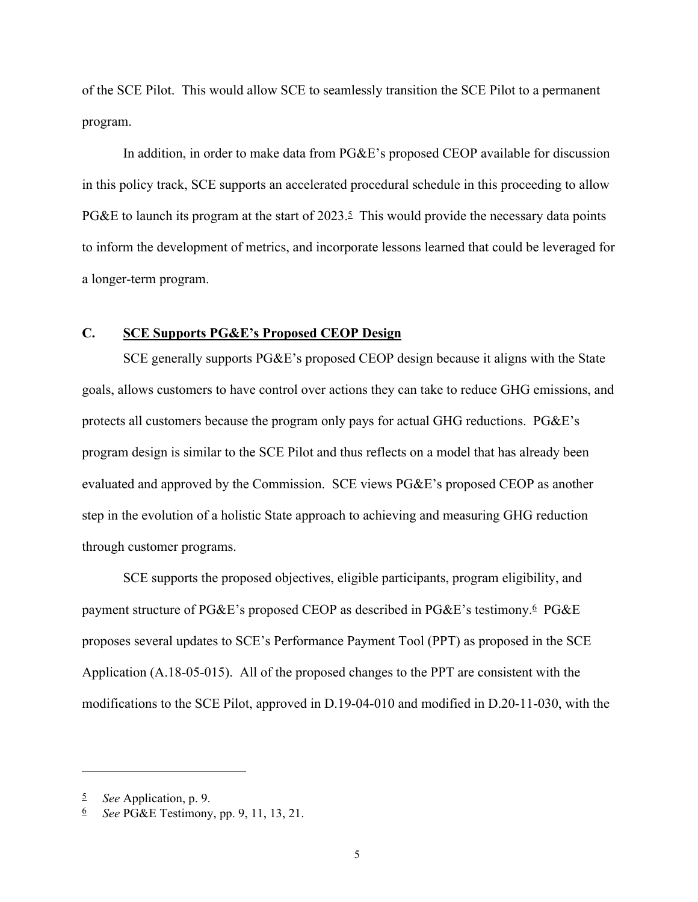of the SCE Pilot. This would allow SCE to seamlessly transition the SCE Pilot to a permanent program.

In addition, in order to make data from PG&E's proposed CEOP available for discussion in this policy track, SCE supports an accelerated procedural schedule in this proceeding to allow PG&E to launch its program at the start of  $2023.5$  This would provide the necessary data points to inform the development of metrics, and incorporate lessons learned that could be leveraged for a longer-term program.

#### **C. SCE Supports PG&E's Proposed CEOP Design**

SCE generally supports PG&E's proposed CEOP design because it aligns with the State goals, allows customers to have control over actions they can take to reduce GHG emissions, and protects all customers because the program only pays for actual GHG reductions. PG&E's program design is similar to the SCE Pilot and thus reflects on a model that has already been evaluated and approved by the Commission. SCE views PG&E's proposed CEOP as another step in the evolution of a holistic State approach to achieving and measuring GHG reduction through customer programs.

SCE supports the proposed objectives, eligible participants, program eligibility, and payment structure of PG&E's proposed CEOP as described in PG&E's testimony.6 PG&E proposes several updates to SCE's Performance Payment Tool (PPT) as proposed in the SCE Application (A.18-05-015). All of the proposed changes to the PPT are consistent with the modifications to the SCE Pilot, approved in D.19-04-010 and modified in D.20-11-030, with the

<sup>5</sup> *See* Application, p. 9.

<sup>6</sup> *See* PG&E Testimony, pp. 9, 11, 13, 21.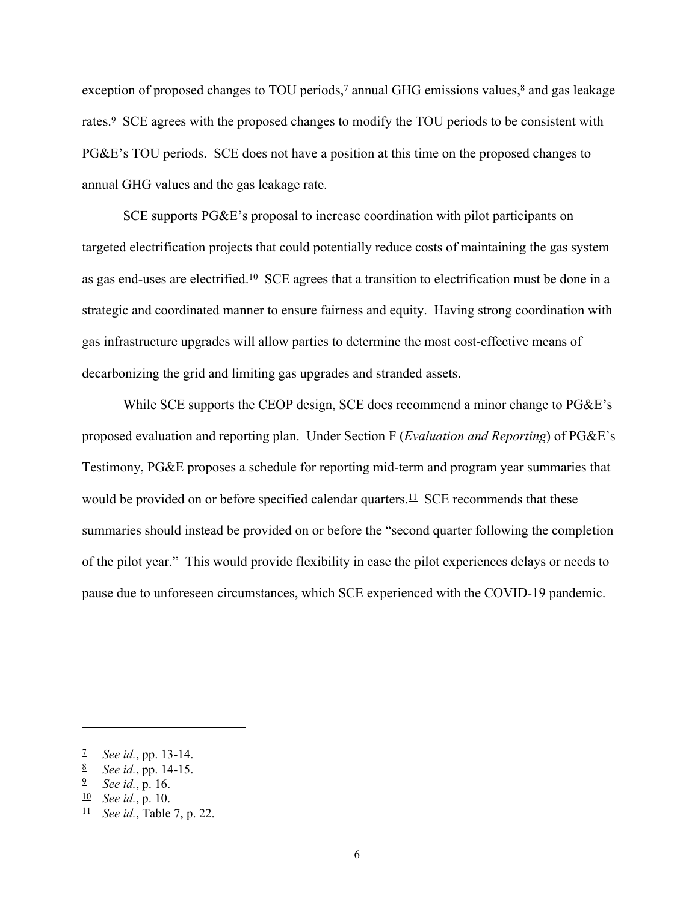exception of proposed changes to TOU periods,<sup> $7$ </sup> annual GHG emissions values, $8$  and gas leakage rates.9 SCE agrees with the proposed changes to modify the TOU periods to be consistent with PG&E's TOU periods. SCE does not have a position at this time on the proposed changes to annual GHG values and the gas leakage rate.

SCE supports PG&E's proposal to increase coordination with pilot participants on targeted electrification projects that could potentially reduce costs of maintaining the gas system as gas end-uses are electrified.10 SCE agrees that a transition to electrification must be done in a strategic and coordinated manner to ensure fairness and equity. Having strong coordination with gas infrastructure upgrades will allow parties to determine the most cost-effective means of decarbonizing the grid and limiting gas upgrades and stranded assets.

While SCE supports the CEOP design, SCE does recommend a minor change to PG&E's proposed evaluation and reporting plan. Under Section F (*Evaluation and Reporting*) of PG&E's Testimony, PG&E proposes a schedule for reporting mid-term and program year summaries that would be provided on or before specified calendar quarters.<sup>11</sup> SCE recommends that these summaries should instead be provided on or before the "second quarter following the completion of the pilot year." This would provide flexibility in case the pilot experiences delays or needs to pause due to unforeseen circumstances, which SCE experienced with the COVID-19 pandemic.

<sup>7</sup> *See id.*, pp. 13-14.

<sup>8</sup> *See id.*, pp. 14-15.

<sup>9</sup> *See id.*, p. 16.

<sup>10</sup> *See id.*, p. 10.

<sup>11</sup> *See id.*, Table 7, p. 22.